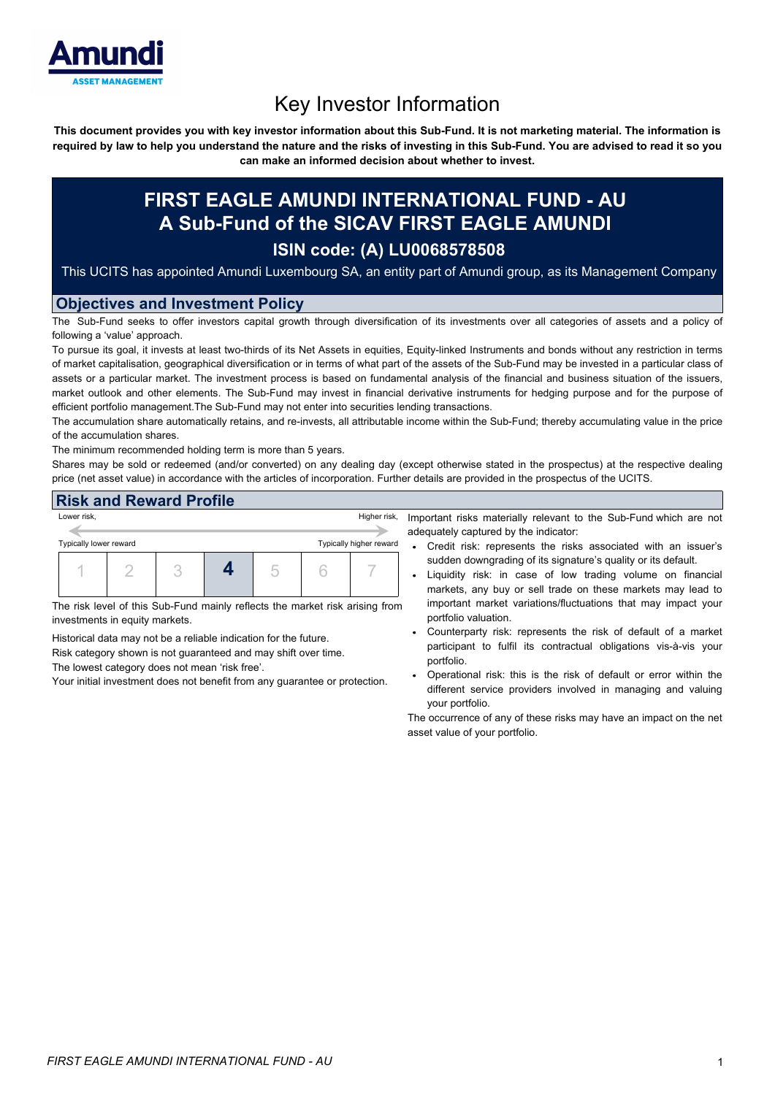

# Key Investor Information

This document provides you with key investor information about this Sub-Fund. It is not marketing material. The information is required by law to help you understand the nature and the risks of investing in this Sub-Fund. You are advised to read it so you **can make an informed decision about whether to invest.**

## **FIRST EAGLE AMUNDI INTERNATIONAL FUND - AU A Sub-Fund of the SICAV FIRST EAGLE AMUNDI ISIN code: (A) LU0068578508**

This UCITS has appointed Amundi Luxembourg SA, an entity part of Amundi group, as its Management Company

#### **Objectives and Investment Policy**

The Sub-Fund seeks to offer investors capital growth through diversification of its investments over all categories of assets and a policy of following a 'value' approach.

To pursue its goal, it invests at least two-thirds of its Net Assets in equities, Equity-linked Instruments and bonds without any restriction in terms of market capitalisation, geographical diversification or in terms of what part of the assets of the Sub-Fund may be invested in a particular class of assets or a particular market. The investment process is based on fundamental analysis of the financial and business situation of the issuers, market outlook and other elements. The Sub-Fund may invest in financial derivative instruments for hedging purpose and for the purpose of efficient portfolio management.The Sub-Fund may not enter into securities lending transactions.

The accumulation share automatically retains, and re-invests, all attributable income within the Sub-Fund; thereby accumulating value in the price of the accumulation shares.

The minimum recommended holding term is more than 5 years.

Shares may be sold or redeemed (and/or converted) on any dealing day (except otherwise stated in the prospectus) at the respective dealing price (net asset value) in accordance with the articles of incorporation. Further details are provided in the prospectus of the UCITS.

#### **Risk and Reward Profile**

| Lower risk,                                       |  |  | Higher risk,<br>– Ir |  |  |  |   |
|---------------------------------------------------|--|--|----------------------|--|--|--|---|
| Typically higher reward<br>Typically lower reward |  |  |                      |  |  |  | a |
|                                                   |  |  |                      |  |  |  |   |
|                                                   |  |  |                      |  |  |  |   |

The risk level of this Sub-Fund mainly reflects the market risk arising from investments in equity markets.

Historical data may not be a reliable indication for the future.

Risk category shown is not guaranteed and may shift over time.

The lowest category does not mean 'risk free'.

Your initial investment does not benefit from any guarantee or protection.

mportant risks materially relevant to the Sub-Fund which are not adequately captured by the indicator:

- Credit risk: represents the risks associated with an issuer's sudden downgrading of its signature's quality or its default.
- Liquidity risk: in case of low trading volume on financial markets, any buy or sell trade on these markets may lead to important market variations/fluctuations that may impact your portfolio valuation.
- Counterparty risk: represents the risk of default of a market participant to fulfil its contractual obligations vis-à-vis your portfolio.
- Operational risk: this is the risk of default or error within the different service providers involved in managing and valuing your portfolio.

The occurrence of any of these risks may have an impact on the net asset value of your portfolio.